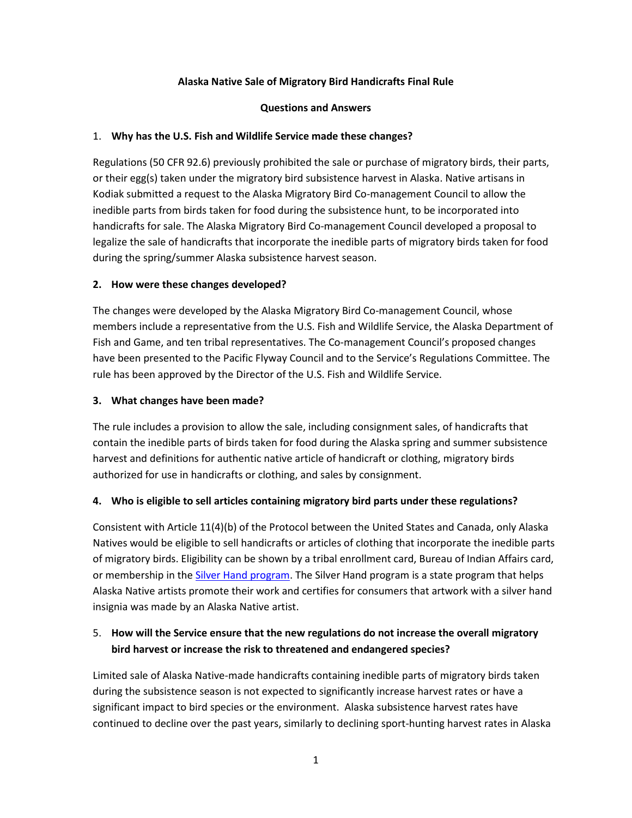## **Alaska Native Sale of Migratory Bird Handicrafts Final Rule**

#### **Questions and Answers**

## 1. **Why has the U.S. Fish and Wildlife Service made these changes?**

Regulations (50 CFR 92.6) previously prohibited the sale or purchase of migratory birds, their parts, or their egg(s) taken under the migratory bird subsistence harvest in Alaska. Native artisans in Kodiak submitted a request to the Alaska Migratory Bird Co-management Council to allow the inedible parts from birds taken for food during the subsistence hunt, to be incorporated into handicrafts for sale. The Alaska Migratory Bird Co-management Council developed a proposal to legalize the sale of handicrafts that incorporate the inedible parts of migratory birds taken for food during the spring/summer Alaska subsistence harvest season.

## **2. How were these changes developed?**

The changes were developed by the Alaska Migratory Bird Co-management Council, whose members include a representative from the U.S. Fish and Wildlife Service, the Alaska Department of Fish and Game, and ten tribal representatives. The Co-management Council's proposed changes have been presented to the Pacific Flyway Council and to the Service's Regulations Committee. The rule has been approved by the Director of the U.S. Fish and Wildlife Service.

#### **3. What changes have been made?**

The rule includes a provision to allow the sale, including consignment sales, of handicrafts that contain the inedible parts of birds taken for food during the Alaska spring and summer subsistence harvest and definitions for authentic native article of handicraft or clothing, migratory birds authorized for use in handicrafts or clothing, and sales by consignment.

#### **4. Who is eligible to sell articles containing migratory bird parts under these regulations?**

Consistent with Article 11(4)(b) of the Protocol between the United States and Canada, only Alaska Natives would be eligible to sell handicrafts or articles of clothing that incorporate the inedible parts of migratory birds. Eligibility can be shown by a tribal enrollment card, Bureau of Indian Affairs card, or membership in the [Silver Hand program.](https://education.alaska.gov/aksca/native.html) The Silver Hand program is a state program that helps Alaska Native artists promote their work and certifies for consumers that artwork with a silver hand insignia was made by an Alaska Native artist.

# 5. **How will the Service ensure that the new regulations do not increase the overall migratory bird harvest or increase the risk to threatened and endangered species?**

Limited sale of Alaska Native-made handicrafts containing inedible parts of migratory birds taken during the subsistence season is not expected to significantly increase harvest rates or have a significant impact to bird species or the environment. Alaska subsistence harvest rates have continued to decline over the past years, similarly to declining sport-hunting harvest rates in Alaska